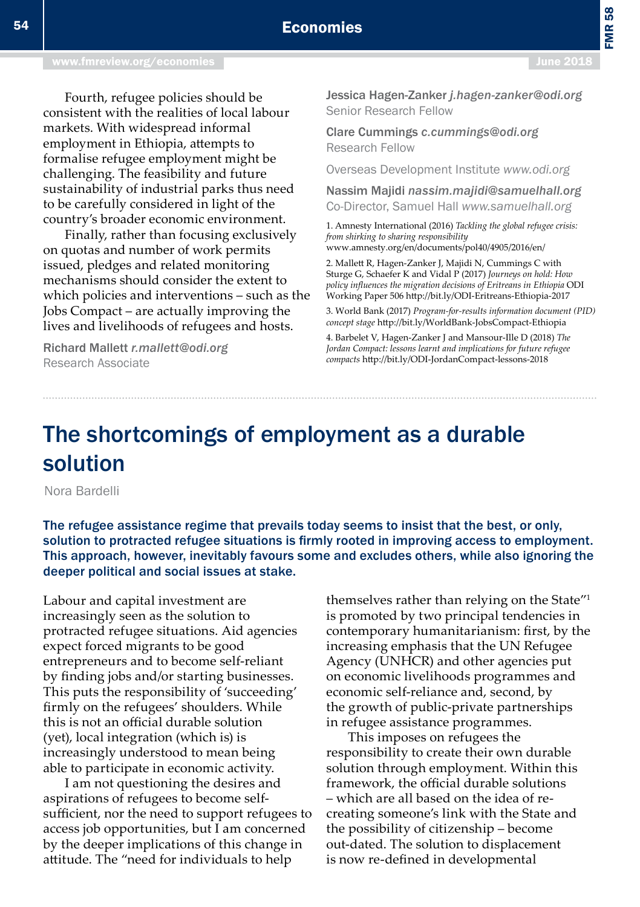## The shortcomings of employment as a durable solution

Nora Bardelli

The refugee assistance regime that prevails today seems to insist that the best, or only, solution to protracted refugee situations is firmly rooted in improving access to employment. This approach, however, inevitably favours some and excludes others, while also ignoring the deeper political and social issues at stake.

Labour and capital investment are increasingly seen as the solution to protracted refugee situations. Aid agencies expect forced migrants to be good entrepreneurs and to become self-reliant by finding jobs and/or starting businesses. This puts the responsibility of 'succeeding' firmly on the refugees' shoulders. While this is not an official durable solution (yet), local integration (which is) is increasingly understood to mean being able to participate in economic activity.

I am not questioning the desires and aspirations of refugees to become selfsufficient, nor the need to support refugees to access job opportunities, but I am concerned by the deeper implications of this change in attitude. The "need for individuals to help

themselves rather than relying on the State"1 is promoted by two principal tendencies in contemporary humanitarianism: first, by the increasing emphasis that the UN Refugee Agency (UNHCR) and other agencies put on economic livelihoods programmes and economic self-reliance and, second, by the growth of public-private partnerships in refugee assistance programmes.

This imposes on refugees the responsibility to create their own durable solution through employment. Within this framework, the official durable solutions – which are all based on the idea of recreating someone's link with the State and the possibility of citizenship – become out-dated. The solution to displacement is now re-defined in developmental